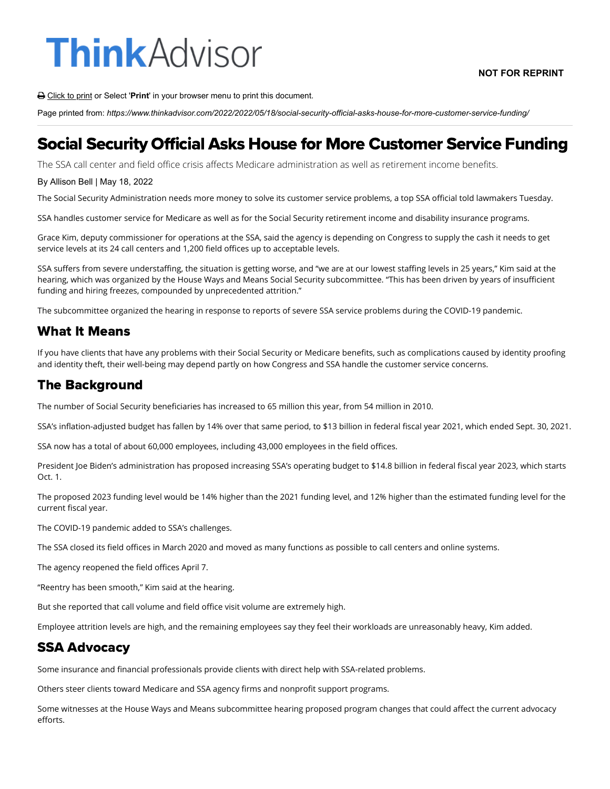# **ThinkAdvisor**

Click to print or Select '**Print**' in your browser menu to print this document.

Page printed from: *https://www.thinkadvisor.com/2022/2022/05/18/social-security-official-asks-house-for-more-customer-service-funding/*

## Social Security Official Asks House for More Customer Service Funding

The SSA call center and field office crisis affects Medicare administration as well as retirement income benefits.

#### By Allison Bell | May 18, 2022

The Social Security Administration needs more money to solve its customer service problems, a top SSA official told lawmakers Tuesday.

SSA handles customer service for Medicare as well as for the Social Security retirement income and disability insurance programs.

Grace Kim, deputy commissioner for operations at the SSA, said the agency is depending on Congress to supply the cash it needs to get service levels at its 24 call centers and 1,200 field offices up to acceptable levels.

SSA suffers from severe understaffing, the situation is getting worse, and "we are at our lowest staffing levels in 25 years," Kim said at the hearing, which was organized by the House Ways and Means Social Security subcommittee. "This has been driven by years of insufficient funding and hiring freezes, compounded by unprecedented attrition."

The subcommittee organized the hearing in response to reports of severe SSA service problems during the COVID-19 pandemic.

#### What It Means

If you have clients that have any problems with their Social Security or Medicare benefits, such as complications caused by identity proofing and identity theft, their well-being may depend partly on how Congress and SSA handle the customer service concerns.

### The Background

The number of Social Security beneficiaries has increased to 65 million this year, from 54 million in 2010.

SSA's inflation-adjusted budget has fallen by 14% over that same period, to \$13 billion in federal fiscal year 2021, which ended Sept. 30, 2021.

SSA now has a total of about 60,000 employees, including 43,000 employees in the field offices.

President Joe Biden's administration has proposed increasing SSA's operating budget to \$14.8 billion in federal fiscal year 2023, which starts Oct. 1.

The proposed 2023 funding level would be 14% higher than the 2021 funding level, and 12% higher than the estimated funding level for the current fiscal year.

The COVID-19 pandemic added to SSA's challenges.

The SSA closed its field offices in March 2020 and moved as many functions as possible to call centers and online systems.

The agency reopened the field offices April 7.

"Reentry has been smooth," Kim said at the hearing.

But she reported that call volume and field office visit volume are extremely high.

Employee attrition levels are high, and the remaining employees say they feel their workloads are unreasonably heavy, Kim added.

### SSA Advocacy

Some insurance and financial professionals provide clients with direct help with SSA-related problems.

Others steer clients toward Medicare and SSA agency firms and nonprofit support programs.

Some witnesses at the House Ways and Means subcommittee hearing proposed program changes that could affect the current advocacy efforts.